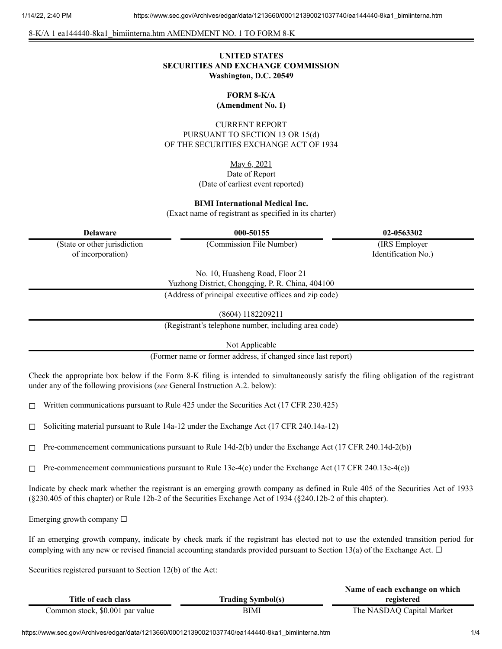8-K/A 1 ea144440-8ka1\_bimiinterna.htm AMENDMENT NO. 1 TO FORM 8-K

## **UNITED STATES SECURITIES AND EXCHANGE COMMISSION Washington, D.C. 20549**

# **FORM 8-K/A**

**(Amendment No. 1)**

CURRENT REPORT PURSUANT TO SECTION 13 OR 15(d) OF THE SECURITIES EXCHANGE ACT OF 1934

## May 6, 2021

## Date of Report (Date of earliest event reported)

#### **BIMI International Medical Inc.**

(Exact name of registrant as specified in its charter)

**Delaware 000-50155 02-0563302**

(State or other jurisdiction of incorporation)

(Commission File Number) (IRS Employer

Identification No.)

No. 10, Huasheng Road, Floor 21

Yuzhong District, Chongqing, P. R. China, 404100

(Address of principal executive offices and zip code)

(8604) 1182209211

(Registrant's telephone number, including area code)

Not Applicable

(Former name or former address, if changed since last report)

Check the appropriate box below if the Form 8-K filing is intended to simultaneously satisfy the filing obligation of the registrant under any of the following provisions (*see* General Instruction A.2. below):

 $\Box$  Written communications pursuant to Rule 425 under the Securities Act (17 CFR 230.425)

 $\Box$  Soliciting material pursuant to Rule 14a-12 under the Exchange Act (17 CFR 240.14a-12)

 $\Box$  Pre-commencement communications pursuant to Rule 14d-2(b) under the Exchange Act (17 CFR 240.14d-2(b))

 $\Box$  Pre-commencement communications pursuant to Rule 13e-4(c) under the Exchange Act (17 CFR 240.13e-4(c))

Indicate by check mark whether the registrant is an emerging growth company as defined in Rule 405 of the Securities Act of 1933 (§230.405 of this chapter) or Rule 12b-2 of the Securities Exchange Act of 1934 (§240.12b-2 of this chapter).

Emerging growth company  $\Box$ 

If an emerging growth company, indicate by check mark if the registrant has elected not to use the extended transition period for complying with any new or revised financial accounting standards provided pursuant to Section 13(a) of the Exchange Act.  $\Box$ 

Securities registered pursuant to Section 12(b) of the Act:

|                                 |                          | Name of each exchange on which |
|---------------------------------|--------------------------|--------------------------------|
| Title of each class             | <b>Trading Symbol(s)</b> | registered                     |
| Common stock, \$0.001 par value | BIMI                     | The NASDAQ Capital Market      |

https://www.sec.gov/Archives/edgar/data/1213660/000121390021037740/ea144440-8ka1\_bimiinterna.htm 1/4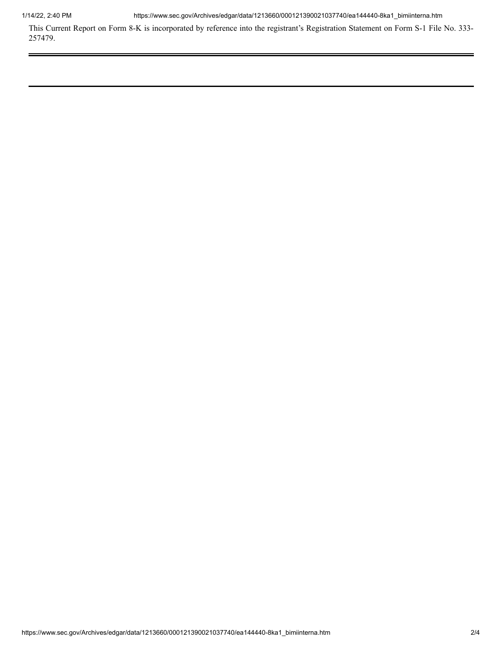1/14/22, 2:40 PM https://www.sec.gov/Archives/edgar/data/1213660/000121390021037740/ea144440-8ka1\_bimiinterna.htm

This Current Report on Form 8-K is incorporated by reference into the registrant's Registration Statement on Form S-1 File No. 333- 257479.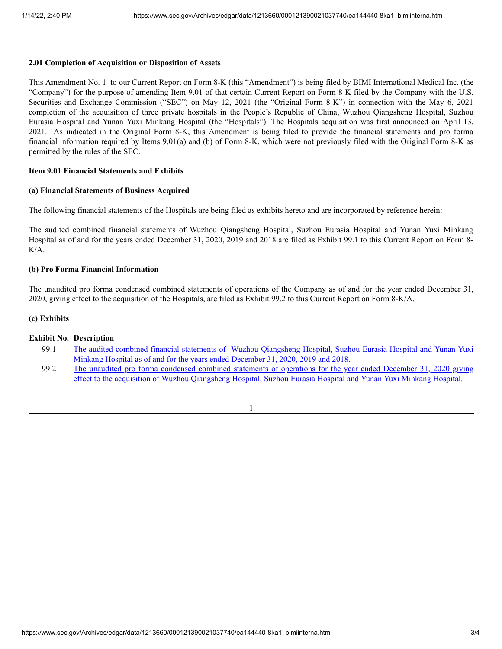## **2.01 Completion of Acquisition or Disposition of Assets**

This Amendment No. 1 to our Current Report on Form 8-K (this "Amendment") is being filed by BIMI International Medical Inc. (the "Company") for the purpose of amending Item 9.01 of that certain Current Report on Form 8-K filed by the Company with the U.S. Securities and Exchange Commission ("SEC") on May 12, 2021 (the "Original Form 8-K") in connection with the May 6, 2021 completion of the acquisition of three private hospitals in the People's Republic of China, Wuzhou Qiangsheng Hospital, Suzhou Eurasia Hospital and Yunan Yuxi Minkang Hospital (the "Hospitals"). The Hospitals acquisition was first announced on April 13, 2021. As indicated in the Original Form 8-K, this Amendment is being filed to provide the financial statements and pro forma financial information required by Items 9.01(a) and (b) of Form 8-K, which were not previously filed with the Original Form 8-K as permitted by the rules of the SEC.

## **Item 9.01 Financial Statements and Exhibits**

#### **(a) Financial Statements of Business Acquired**

The following financial statements of the Hospitals are being filed as exhibits hereto and are incorporated by reference herein:

The audited combined financial statements of Wuzhou Qiangsheng Hospital, Suzhou Eurasia Hospital and Yunan Yuxi Minkang Hospital as of and for the years ended December 31, 2020, 2019 and 2018 are filed as Exhibit 99.1 to this Current Report on Form 8- K/A.

## **(b) Pro Forma Financial Information**

The unaudited pro forma condensed combined statements of operations of the Company as of and for the year ended December 31, 2020, giving effect to the acquisition of the Hospitals, are filed as Exhibit 99.2 to this Current Report on Form 8-K/A.

## **(c) Exhibits**

#### **Exhibit No. Description**

- 99.1 The audited combined financial statements of Wuzhou [Qiangsheng](https://www.sec.gov/Archives/edgar/data/1213660/000121390021037740/ea144440ex99-1_bimiinterna.htm) Hospital, Suzhou Eurasia Hospital and Yunan Yuxi Minkang Hospital as of and for the years ended December 31, 2020, 2019 and 2018.
- 99.2 The unaudited pro forma condensed combined statements of operations for the year ended December 31, 2020 giving effect to the acquisition of Wuzhou [Qiangsheng](https://www.sec.gov/Archives/edgar/data/1213660/000121390021037740/ea144440ex99-2_bimiinterna.htm) Hospital, Suzhou Eurasia Hospital and Yunan Yuxi Minkang Hospital.

1